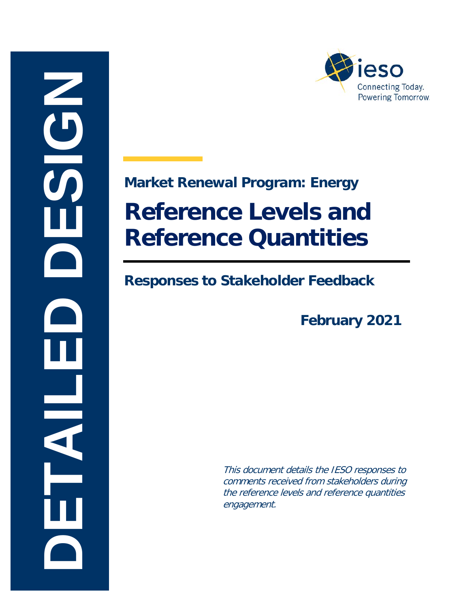



# <span id="page-0-0"></span>**Market Renewal Program: Energy Reference Levels and Reference Quantities**

#### **Responses to Stakeholder Feedback**

**February 2021** 

This document details the IESO responses to comments received from stakeholders during the reference levels and reference quantities engagement.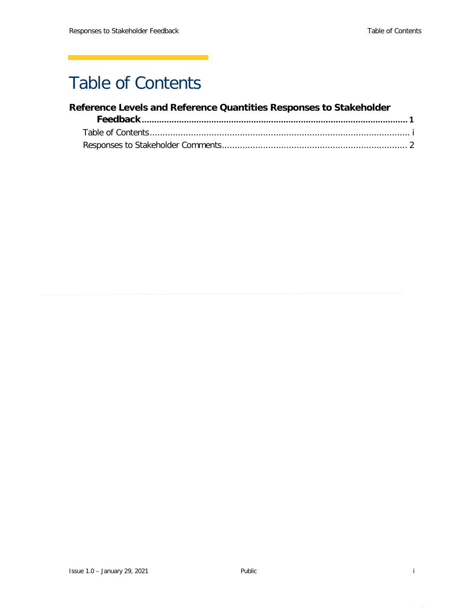### <span id="page-1-0"></span>Table of Contents

#### **[Reference Levels and Reference Quantities Responses to Stakeholder](#page-0-0)**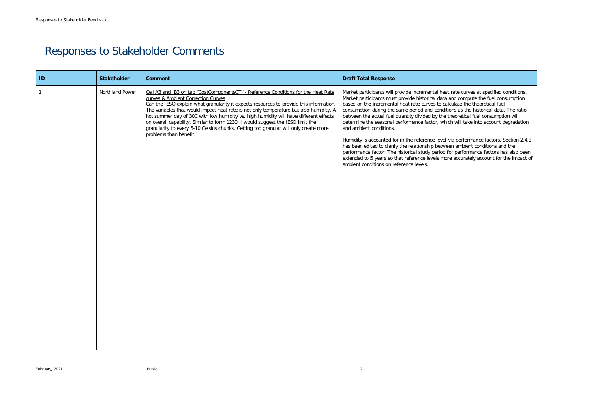at rate curves at specified conditions. and compute the fuel consumption alculate the theoretical fuel itions as the historical data. The ratio betheoretical fuel consumption will hich will take into account degradation

I via performance factors. Section 2.4.3 een ambient conditions and the for performance factors has also been ore accurately account for the impact of

## <span id="page-2-0"></span>Responses to Stakeholder Comments

| ID | <b>Stakeholder</b> | <b>Comment</b>                                                                                                                                                                                                                                                                                                                                                                                                                                                                                                                                                                                             | <b>Draft Total Response</b>                                                                                                                                                                                                                                                                                                                                                                                                                                                                                                                                                                       |
|----|--------------------|------------------------------------------------------------------------------------------------------------------------------------------------------------------------------------------------------------------------------------------------------------------------------------------------------------------------------------------------------------------------------------------------------------------------------------------------------------------------------------------------------------------------------------------------------------------------------------------------------------|---------------------------------------------------------------------------------------------------------------------------------------------------------------------------------------------------------------------------------------------------------------------------------------------------------------------------------------------------------------------------------------------------------------------------------------------------------------------------------------------------------------------------------------------------------------------------------------------------|
|    | Northland Power    | Cell A3 and B3 on tab "CostComponentsCT" - Reference Conditions for the Heat Rate<br>curves & Ambient Correction Curves<br>Can the IESO explain what granularity it expects resources to provide this information.<br>The variables that would impact heat rate is not only temperature but also humidity. A<br>hot summer day of 30C with low humidity vs. high humidity will have different effects<br>on overall capability. Similar to form 1230, I would suggest the IESO limit the<br>granularity to every 5-10 Celsius chunks. Getting too granular will only create more<br>problems than benefit. | Market participants will provide incremental hea<br>Market participants must provide historical data<br>based on the incremental heat rate curves to ca<br>consumption during the same period and condi-<br>between the actual fuel quantity divided by the<br>determine the seasonal performance factor, wh<br>and ambient conditions.<br>Humidity is accounted for in the reference level<br>has been edited to clarify the relationship betwe<br>performance factor. The historical study period<br>extended to 5 years so that reference levels mo<br>ambient conditions on reference levels. |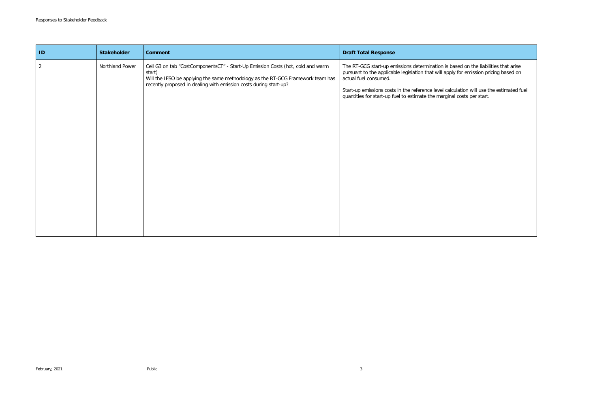s based on the liabilities that arise pply for emission pricing based on

calculation will use the estimated fuel qinal costs per start.

| ID             | <b>Stakeholder</b> | <b>Comment</b>                                                                                                                                                                                                                                    | <b>Draft Total Response</b>                                                                                                                                                                                                             |
|----------------|--------------------|---------------------------------------------------------------------------------------------------------------------------------------------------------------------------------------------------------------------------------------------------|-----------------------------------------------------------------------------------------------------------------------------------------------------------------------------------------------------------------------------------------|
| $\overline{2}$ | Northland Power    | Cell G3 on tab "CostComponentsCT" - Start-Up Emission Costs (hot, cold and warm<br>start)<br>Will the IESO be applying the same methodology as the RT-GCG Framework team has<br>recently proposed in dealing with emission costs during start-up? | The RT-GCG start-up emissions determination is<br>pursuant to the applicable legislation that will a<br>actual fuel consumed.<br>Start-up emissions costs in the reference level c<br>quantities for start-up fuel to estimate the marg |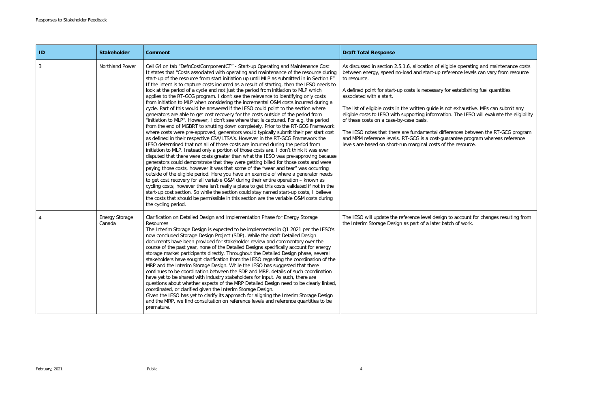| $\vert$ ID | <b>Stakeholder</b>              | <b>Comment</b>                                                                                                                                                                                                                                                                                                                                                                                                                                                                                                                                                                                                                                                                                                                                                                                                                                                                                                                                                                                                                                                                                                                                                                                                                                                                                                                                                                                                                                                                                                                                                                                                                                                                                                                                                                                                                                                                                                                                                                                                                                                                                                    | <b>Draft Total Response</b>                                                                                                                                                                                                                                                                                                                                                                                                                                                                                                                                                                                                                                                                                                                                                            |
|------------|---------------------------------|-------------------------------------------------------------------------------------------------------------------------------------------------------------------------------------------------------------------------------------------------------------------------------------------------------------------------------------------------------------------------------------------------------------------------------------------------------------------------------------------------------------------------------------------------------------------------------------------------------------------------------------------------------------------------------------------------------------------------------------------------------------------------------------------------------------------------------------------------------------------------------------------------------------------------------------------------------------------------------------------------------------------------------------------------------------------------------------------------------------------------------------------------------------------------------------------------------------------------------------------------------------------------------------------------------------------------------------------------------------------------------------------------------------------------------------------------------------------------------------------------------------------------------------------------------------------------------------------------------------------------------------------------------------------------------------------------------------------------------------------------------------------------------------------------------------------------------------------------------------------------------------------------------------------------------------------------------------------------------------------------------------------------------------------------------------------------------------------------------------------|----------------------------------------------------------------------------------------------------------------------------------------------------------------------------------------------------------------------------------------------------------------------------------------------------------------------------------------------------------------------------------------------------------------------------------------------------------------------------------------------------------------------------------------------------------------------------------------------------------------------------------------------------------------------------------------------------------------------------------------------------------------------------------------|
| 3          | Northland Power                 | Cell G4 on tab "DefnCostComponentCT" - Start-up Operating and Maintenance Cost<br>It states that "Costs associated with operating and maintenance of the resource during<br>start-up of the resource from start initiation up until MLP as submitted in in Section E"<br>If the intent is to capture costs incurred as a result of starting, then the IESO needs to<br>look at the period of a cycle and not just the period from initiation to MLP which<br>applies to the RT-GCG program. I don't see the relevance to identifying only costs<br>from initiation to MLP when considering the incremental O&M costs incurred during a<br>cycle. Part of this would be answered if the IESO could point to the section where<br>generators are able to get cost recovery for the costs outside of the period from<br>"initiation to MLP". However, I don't see where that is captured. For e.g. the period<br>from the end of MGBRT to shutting down completely. Prior to the RT-GCG Framework<br>where costs were pre-approved, generators would typically submit their per start cost<br>as defined in their respective CSA/LTSA's. However in the RT-GCG Framework the<br>IESO determined that not all of those costs are incurred during the period from<br>initiation to MLP. Instead only a portion of those costs are. I don't think it was ever<br>disputed that there were costs greater than what the IESO was pre-approving because<br>generators could demonstrate that they were getting billed for those costs and were<br>paying those costs, however it was that some of the "wear and tear" was occurring<br>outside of the eligible period. Here you have an example of where a generator needs<br>to get cost recovery for all variable O&M during their entire operation - known as<br>cycling costs, however there isn't really a place to get this costs validated if not in the<br>start-up cost section. So while the section could stay named start-up costs, I believe<br>the costs that should be permissible in this section are the variable O&M costs during<br>the cycling period. | As discussed in section 2.5.1.6, allocation of eligible operating and maintenance costs<br>between energy, speed no-load and start-up reference levels can vary from resource<br>to resource.<br>A defined point for start-up costs is necessary for establishing fuel quantities<br>associated with a start.<br>The list of eligible costs in the written guide is not exhaustive. MPs can submit any<br>eligible costs to IESO with supporting information. The IESO will evaluate the eligibility<br>of these costs on a case-by-case basis.<br>The IESO notes that there are fundamental differences between the RT-GCG program<br>and MPM reference levels. RT-GCG is a cost-guarantee program whereas reference<br>levels are based on short-run marginal costs of the resource. |
|            | <b>Energy Storage</b><br>Canada | Clarification on Detailed Design and Implementation Phase for Energy Storage<br>Resources<br>The Interim Storage Design is expected to be implemented in Q1 2021 per the IESO's<br>now concluded Storage Design Project (SDP). While the draft Detailed Design<br>documents have been provided for stakeholder review and commentary over the<br>course of the past year, none of the Detailed Designs specifically account for energy<br>storage market participants directly. Throughout the Detailed Design phase, several<br>stakeholders have sought clarification from the IESO regarding the coordination of the<br>MRP and the Interim Storage Design. While the IESO has suggested that there<br>continues to be coordination between the SDP and MRP, details of such coordination<br>have yet to be shared with industry stakeholders for input. As such, there are<br>questions about whether aspects of the MRP Detailed Design need to be clearly linked,<br>coordinated, or clarified given the Interim Storage Design.<br>Given the IESO has yet to clarify its approach for aligning the Interim Storage Design<br>and the MRP, we find consultation on reference levels and reference quantities to be<br>premature.                                                                                                                                                                                                                                                                                                                                                                                                                                                                                                                                                                                                                                                                                                                                                                                                                                                                            | The IESO will update the reference level design to account for changes resulting from<br>the Interim Storage Design as part of a later batch of work.                                                                                                                                                                                                                                                                                                                                                                                                                                                                                                                                                                                                                                  |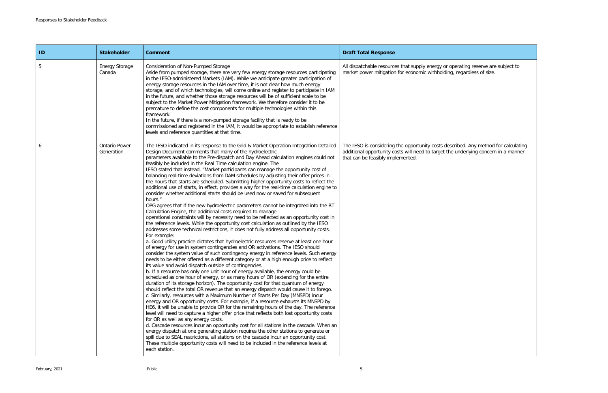| ID | <b>Stakeholder</b>                 | <b>Comment</b>                                                                                                                                                                                                                                                                                                                                                                                                                                                                                                                                                                                                                                                                                                                                                                                                                                                                                                                                                                                                                                                                                                                                                                                                                                                                                                                                                                                                                                                                                                                                                                                                                                                                                                                                                                                                                                                                                                                                                                                                                                                                                                                                                                                                                                                                                                                                                                                                                                                                                                                                                                                                                                                                                                                                                                                                  | <b>Draft Total Response</b>                                                                                                                                                                                     |
|----|------------------------------------|-----------------------------------------------------------------------------------------------------------------------------------------------------------------------------------------------------------------------------------------------------------------------------------------------------------------------------------------------------------------------------------------------------------------------------------------------------------------------------------------------------------------------------------------------------------------------------------------------------------------------------------------------------------------------------------------------------------------------------------------------------------------------------------------------------------------------------------------------------------------------------------------------------------------------------------------------------------------------------------------------------------------------------------------------------------------------------------------------------------------------------------------------------------------------------------------------------------------------------------------------------------------------------------------------------------------------------------------------------------------------------------------------------------------------------------------------------------------------------------------------------------------------------------------------------------------------------------------------------------------------------------------------------------------------------------------------------------------------------------------------------------------------------------------------------------------------------------------------------------------------------------------------------------------------------------------------------------------------------------------------------------------------------------------------------------------------------------------------------------------------------------------------------------------------------------------------------------------------------------------------------------------------------------------------------------------------------------------------------------------------------------------------------------------------------------------------------------------------------------------------------------------------------------------------------------------------------------------------------------------------------------------------------------------------------------------------------------------------------------------------------------------------------------------------------------------|-----------------------------------------------------------------------------------------------------------------------------------------------------------------------------------------------------------------|
| 5  | <b>Energy Storage</b><br>Canada    | <b>Consideration of Non-Pumped Storage</b><br>Aside from pumped storage, there are very few energy storage resources participating<br>in the IESO-administered Markets (IAM). While we anticipate greater participation of<br>energy storage resources in the IAM over time, it is not clear how much energy<br>storage, and of which technologies, will come online and register to participate in IAM<br>in the future, and whether those storage resources will be of sufficient scale to be<br>subject to the Market Power Mitigation framework. We therefore consider it to be<br>premature to define the cost components for multiple technologies within this<br>framework.<br>In the future, if there is a non-pumped storage facility that is ready to be<br>commissioned and registered in the IAM, it would be appropriate to establish reference<br>levels and reference quantities at that time.                                                                                                                                                                                                                                                                                                                                                                                                                                                                                                                                                                                                                                                                                                                                                                                                                                                                                                                                                                                                                                                                                                                                                                                                                                                                                                                                                                                                                                                                                                                                                                                                                                                                                                                                                                                                                                                                                                   | All dispatchable resources that supply energy or operating reserve are subject to<br>market power mitigation for economic withholding, regardless of size.                                                      |
|    | <b>Ontario Power</b><br>Generation | The IESO indicated in its response to the Grid & Market Operation Integration Detailed<br>Design Document comments that many of the hydroelectric<br>parameters available to the Pre-dispatch and Day Ahead calculation engines could not<br>feasibly be included in the Real Time calculation engine. The<br>IESO stated that instead, "Market participants can manage the opportunity cost of<br>balancing real-time deviations from DAM schedules by adjusting their offer prices in<br>the hours that starts are scheduled. Submitting higher opportunity costs to reflect the<br>additional use of starts, in effect, provides a way for the real-time calculation engine to<br>consider whether additional starts should be used now or saved for subsequent<br>hours."<br>OPG agrees that if the new hydroelectric parameters cannot be integrated into the RT<br>Calculation Engine, the additional costs required to manage<br>operational constraints will by necessity need to be reflected as an opportunity cost in<br>the reference levels. While the opportunity cost calculation as outlined by the IESO<br>addresses some technical restrictions, it does not fully address all opportunity costs.<br>For example:<br>a. Good utility practice dictates that hydroelectric resources reserve at least one hour<br>of energy for use in system contingencies and OR activations. The IESO should<br>consider the system value of such contingency energy in reference levels. Such energy<br>needs to be either offered as a different category or at a high enough price to reflect<br>its value and avoid dispatch outside of contingencies.<br>b. If a resource has only one unit hour of energy available, the energy could be<br>scheduled as one hour of energy, or as many hours of OR (extending for the entire<br>duration of its storage horizon). The opportunity cost for that quantum of energy<br>should reflect the total OR revenue that an energy dispatch would cause it to forego.<br>c. Similarly, resources with a Maximum Number of Starts Per Day (MNSPD) incur<br>energy and OR opportunity costs. For example, if a resource exhausts its MNSPD by<br>HE6, it will be unable to provide OR for the remaining hours of the day. The reference<br>level will need to capture a higher offer price that reflects both lost opportunity costs<br>for OR as well as any energy costs.<br>d. Cascade resources incur an opportunity cost for all stations in the cascade. When an<br>energy dispatch at one generating station requires the other stations to generate or<br>spill due to SEAL restrictions, all stations on the cascade incur an opportunity cost.<br>These multiple opportunity costs will need to be included in the reference levels at<br>each station. | The IESO is considering the opportunity costs described. Any method for calculating<br>additional opportunity costs will need to target the underlying concern in a manner<br>that can be feasibly implemented. |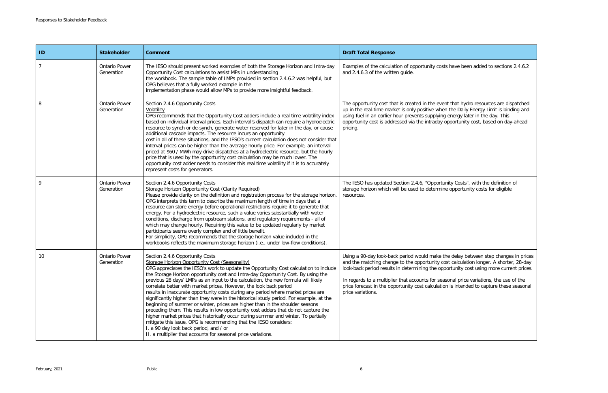| s have been added to sections 2.4.6.2                                                                                                                   |
|---------------------------------------------------------------------------------------------------------------------------------------------------------|
| it that hydro resources are dispatched<br>the Daily Energy Limit is binding and<br>energy later in the day. This<br>pportunity cost, based on day-ahead |
| hity Costs", with the definition of<br>e opportunity costs for eligible                                                                                 |
| e delay between step changes in prices<br>st calculation longer. A shorter, 28-day<br>ortunity cost using more current prices.                          |
| sonal price variations, the use of the<br>n is intended to capture these seasonal                                                                       |

| $\blacksquare$ | <b>Stakeholder</b>                 | <b>Comment</b>                                                                                                                                                                                                                                                                                                                                                                                                                                                                                                                                                                                                                                                                                                                                                                                                                                                                                                                                                                                                                                             | <b>Draft Total Response</b>                                                                                                                                                                                                                                                                                                                                                                                                                                                        |
|----------------|------------------------------------|------------------------------------------------------------------------------------------------------------------------------------------------------------------------------------------------------------------------------------------------------------------------------------------------------------------------------------------------------------------------------------------------------------------------------------------------------------------------------------------------------------------------------------------------------------------------------------------------------------------------------------------------------------------------------------------------------------------------------------------------------------------------------------------------------------------------------------------------------------------------------------------------------------------------------------------------------------------------------------------------------------------------------------------------------------|------------------------------------------------------------------------------------------------------------------------------------------------------------------------------------------------------------------------------------------------------------------------------------------------------------------------------------------------------------------------------------------------------------------------------------------------------------------------------------|
|                | <b>Ontario Power</b><br>Generation | The IESO should present worked examples of both the Storage Horizon and Intra-day<br>Opportunity Cost calculations to assist MPs in understanding<br>the workbook. The sample table of LMPs provided in section 2.4.6.2 was helpful, but<br>OPG believes that a fully worked example in the<br>implementation phase would allow MPs to provide more insightful feedback.                                                                                                                                                                                                                                                                                                                                                                                                                                                                                                                                                                                                                                                                                   | Examples of the calculation of opportunity costs have been added to sections 2.4.6.2<br>and 2.4.6.3 of the written guide.                                                                                                                                                                                                                                                                                                                                                          |
|                | <b>Ontario Power</b><br>Generation | Section 2.4.6 Opportunity Costs<br>Volatility<br>OPG recommends that the Opportunity Cost adders include a real time volatility index<br>based on individual interval prices. Each interval's dispatch can require a hydroelectric<br>resource to synch or de-synch, generate water reserved for later in the day, or cause<br>additional cascade impacts. The resource incurs an opportunity<br>cost in all of these situations, and the IESO's current calculation does not consider that<br>interval prices can be higher than the average hourly price. For example, an interval<br>priced at \$60 / MWh may drive dispatches at a hydroelectric resource, but the hourly<br>price that is used by the opportunity cost calculation may be much lower. The<br>opportunity cost adder needs to consider this real time volatility if it is to accurately<br>represent costs for generators.                                                                                                                                                             | The opportunity cost that is created in the event that hydro resources are dispatched<br>up in the real-time market is only positive when the Daily Energy Limit is binding and<br>using fuel in an earlier hour prevents supplying energy later in the day. This<br>opportunity cost is addressed via the intraday opportunity cost, based on day-ahead<br>pricing.                                                                                                               |
|                | <b>Ontario Power</b><br>Generation | Section 2.4.6 Opportunity Costs<br>Storage Horizon Opportunity Cost (Clarity Required)<br>Please provide clarity on the definition and registration process for the storage horizon<br>OPG interprets this term to describe the maximum length of time in days that a<br>resource can store energy before operational restrictions require it to generate that<br>energy. For a hydroelectric resource, such a value varies substantially with water<br>conditions, discharge from upstream stations, and regulatory requirements - all of<br>which may change hourly. Requiring this value to be updated regularly by market<br>participants seems overly complex and of little benefit.<br>For simplicity, OPG recommends that the storage horizon value included in the<br>workbooks reflects the maximum storage horizon (i.e., under low-flow conditions).                                                                                                                                                                                            | The IESO has updated Section 2.4.6, "Opportunity Costs", with the definition of<br>storage horizon which will be used to determine opportunity costs for eligible<br>resources.                                                                                                                                                                                                                                                                                                    |
| 10             | <b>Ontario Power</b><br>Generation | Section 2.4.6 Opportunity Costs<br>Storage Horizon Opportunity Cost (Seasonality)<br>OPG appreciates the IESO's work to update the Opportunity Cost calculation to include<br>the Storage Horizon opportunity cost and Intra-day Opportunity Cost. By using the<br>previous 28 days' LMPs as an input to the calculation, the new formula will likely<br>correlate better with market prices. However, the look back period<br>results in inaccurate opportunity costs during any period where market prices are<br>significantly higher than they were in the historical study period. For example, at the<br>beginning of summer or winter, prices are higher than in the shoulder seasons<br>preceding them. This results in low opportunity cost adders that do not capture the<br>higher market prices that historically occur during summer and winter. To partially<br>mitigate this issue, OPG is recommending that the IESO considers:<br>I. a 90 day look back period, and / or<br>II. a multiplier that accounts for seasonal price variations. | Using a 90-day look-back period would make the delay between step changes in prices<br>and the matching change to the opportunity cost calculation longer. A shorter, 28-day<br>look-back period results in determining the opportunity cost using more current prices.<br>In regards to a multiplier that accounts for seasonal price variations, the use of the<br>price forecast in the opportunity cost calculation is intended to capture these seasonal<br>price variations. |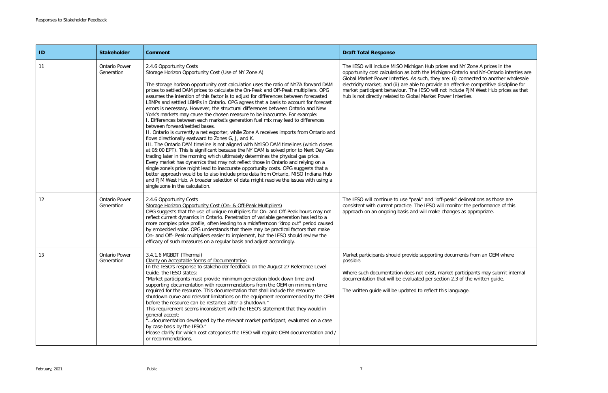| ID | <b>Stakeholder</b>                 | <b>Comment</b>                                                                                                                                                                                                                                                                                                                                                                                                                                                                                                                                                                                                                                                                                                                                                                                                                                                                                                                                                                                                                                                                                                                                                                                                                                                                                                                                                                                                                                                                                                                                     | <b>Draft Total Response</b>                                                                                                                                                                                                                                                                                                                                                                                                                                                                                      |
|----|------------------------------------|----------------------------------------------------------------------------------------------------------------------------------------------------------------------------------------------------------------------------------------------------------------------------------------------------------------------------------------------------------------------------------------------------------------------------------------------------------------------------------------------------------------------------------------------------------------------------------------------------------------------------------------------------------------------------------------------------------------------------------------------------------------------------------------------------------------------------------------------------------------------------------------------------------------------------------------------------------------------------------------------------------------------------------------------------------------------------------------------------------------------------------------------------------------------------------------------------------------------------------------------------------------------------------------------------------------------------------------------------------------------------------------------------------------------------------------------------------------------------------------------------------------------------------------------------|------------------------------------------------------------------------------------------------------------------------------------------------------------------------------------------------------------------------------------------------------------------------------------------------------------------------------------------------------------------------------------------------------------------------------------------------------------------------------------------------------------------|
| 11 | <b>Ontario Power</b><br>Generation | 2.4.6 Opportunity Costs<br>Storage Horizon Opportunity Cost (Use of NY Zone A)<br>The storage horizon opportunity cost calculation uses the ratio of NYZA forward DAM<br>prices to settled DAM prices to calculate the On-Peak and Off-Peak multipliers. OPG<br>assumes the intention of this factor is to adjust for differences between forecasted<br>LBMPs and settled LBMPs in Ontario. OPG agrees that a basis to account for forecast<br>errors is necessary. However, the structural differences between Ontario and New<br>York's markets may cause the chosen measure to be inaccurate. For example:<br>. Differences between each market's generation fuel mix may lead to differences<br>between forward/settled bases.<br>II. Ontario is currently a net exporter, while Zone A receives imports from Ontario and<br>flows directionally eastward to Zones G, J, and K.<br>III. The Ontario DAM timeline is not aligned with NYISO DAM timelines (which closes<br>at 05:00 EPT). This is significant because the NY DAM is solved prior to Next Day Gas<br>trading later in the morning which ultimately determines the physical gas price.<br>Every market has dynamics that may not reflect those in Ontario and relying on a<br>single zone's price might lead to inaccurate opportunity costs. OPG suggests that a<br>better approach would be to also include price data from Ontario, MISO Indiana Hub<br>and PJM West Hub. A broader selection of data might resolve the issues with using a<br>single zone in the calculation. | The IESO will include MISO Michigan Hub prices and NY Zone A prices in the<br>opportunity cost calculation as both the Michigan-Ontario and NY-Ontario interties are<br>Global Market Power Interties. As such, they are: (i) connected to another wholesale<br>electricity market; and (ii) are able to provide an effective competitive discipline for<br>market participant behaviour. The IESO will not include PJM West Hub prices as that<br>hub is not directly related to Global Market Power Interties. |
| 12 | <b>Ontario Power</b><br>Generation | 2.4.6 Opportunity Costs<br>Storage Horizon Opportunity Cost (On- & Off-Peak Multipliers)<br>OPG suggests that the use of unique multipliers for On- and Off-Peak hours may not<br>reflect current dynamics in Ontario. Penetration of variable generation has led to a<br>more complex price profile, often leading to a midafternoon "drop out" period caused<br>by embedded solar. OPG understands that there may be practical factors that make<br>On- and Off- Peak multipliers easier to implement, but the IESO should review the<br>efficacy of such measures on a regular basis and adjust accordingly.                                                                                                                                                                                                                                                                                                                                                                                                                                                                                                                                                                                                                                                                                                                                                                                                                                                                                                                                    | The IESO will continue to use "peak" and "off-peak" delineations as those are<br>consistent with current practice. The IESO will monitor the performance of this<br>approach on an ongoing basis and will make changes as appropriate.                                                                                                                                                                                                                                                                           |
| 13 | <b>Ontario Power</b><br>Generation | 3.4.1.6 MGBDT (Thermal)<br>Clarity on Acceptable forms of Documentation<br>In the IESO's response to stakeholder feedback on the August 27 Reference Level<br>Guide, the IESO states:<br>"Market participants must provide minimum generation block down time and<br>supporting documentation with recommendations from the OEM on minimum time<br>required for the resource. This documentation that shall include the resource<br>shutdown curve and relevant limitations on the equipment recommended by the OEM<br>before the resource can be restarted after a shutdown."<br>This requirement seems inconsistent with the IESO's statement that they would in<br>general accept:<br>"documentation developed by the relevant market participant, evaluated on a case<br>by case basis by the IESO."<br>Please clarify for which cost categories the IESO will require OEM documentation and /<br>or recommendations.                                                                                                                                                                                                                                                                                                                                                                                                                                                                                                                                                                                                                          | Market participants should provide supporting documents from an OEM where<br>possible.<br>Where such documentation does not exist, market participants may submit internal<br>documentation that will be evaluated per section 2.3 of the written guide.<br>The written guide will be updated to reflect this language.                                                                                                                                                                                          |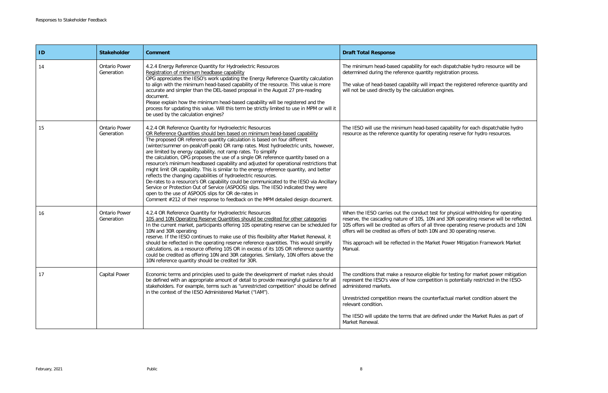| ID | <b>Stakeholder</b>                 | <b>Comment</b>                                                                                                                                                                                                                                                                                                                                                                                                                                                                                                                                                                                                                                                                                                                                                                                                                                                                                                                                                                                                                                | <b>Draft Total Response</b>                                                                                                                                                                                                                                                                                                                                                                                                                   |
|----|------------------------------------|-----------------------------------------------------------------------------------------------------------------------------------------------------------------------------------------------------------------------------------------------------------------------------------------------------------------------------------------------------------------------------------------------------------------------------------------------------------------------------------------------------------------------------------------------------------------------------------------------------------------------------------------------------------------------------------------------------------------------------------------------------------------------------------------------------------------------------------------------------------------------------------------------------------------------------------------------------------------------------------------------------------------------------------------------|-----------------------------------------------------------------------------------------------------------------------------------------------------------------------------------------------------------------------------------------------------------------------------------------------------------------------------------------------------------------------------------------------------------------------------------------------|
| 14 | <b>Ontario Power</b><br>Generation | 4.2.4 Energy Reference Quantity for Hydroelectric Resources<br>Registration of minimum headbase capability<br>OPG appreciates the IESO's work updating the Energy Reference Quantity calculation<br>to align with the minimum head-based capability of the resource. This value is more<br>accurate and simpler than the DEL-based proposal in the August 27 pre-reading<br>document.<br>Please explain how the minimum head-based capability will be registered and the<br>process for updating this value. Will this term be strictly limited to use in MPM or will it<br>be used by the calculation engines?                                                                                                                                                                                                                                                                                                                                                                                                                               | The minimum head-based capability for each dispatchable hydro resource will be<br>determined during the reference quantity registration process.<br>The value of head-based capability will impact the registered reference quantity and<br>will not be used directly by the calculation engines.                                                                                                                                             |
| 15 | <b>Ontario Power</b><br>Generation | 4.2.4 OR Reference Quantity for Hydroelectric Resources<br>OR Reference Quantities should ben based on minimum head-based capability<br>The proposed OR reference quantity calculation is based on four different<br>(winter/summer on-peak/off-peak) OR ramp rates. Most hydroelectric units, however,<br>are limited by energy capability, not ramp rates. To simplify<br>the calculation, OPG proposes the use of a single OR reference quantity based on a<br>resource's minimum headbased capability and adjusted for operational restrictions that<br>might limit OR capability. This is similar to the energy reference quantity, and better<br>reflects the changing capabilities of hydroelectric resources.<br>De-rates to a resource's OR capability could be communicated to the IESO via Ancillary<br>Service or Protection Out of Service (ASPOOS) slips. The IESO indicated they were<br>open to the use of ASPOOS slips for OR de-rates in<br>Comment #212 of their response to feedback on the MPM detailed design document. | The IESO will use the minimum head-based capability for each dispatchable hydro<br>resource as the reference quantity for operating reserve for hydro resources.                                                                                                                                                                                                                                                                              |
| 16 | <b>Ontario Power</b><br>Generation | 4.2.4 OR Reference Quantity for Hydroelectric Resources<br>10S and 10N Operating Reserve Quantities should be credited for other categories<br>In the current market, participants offering 10S operating reserve can be scheduled for<br>10N and 30R operating<br>reserve. If the IESO continues to make use of this flexibility after Market Renewal, it<br>should be reflected in the operating reserve reference quantities. This would simplify<br>calculations, as a resource offering 10S OR in excess of its 10S OR reference quantity<br>could be credited as offering 10N and 30R categories. Similarly, 10N offers above the<br>10N reference quantity should be credited for 30R.                                                                                                                                                                                                                                                                                                                                                 | When the IESO carries out the conduct test for physical withholding for operating<br>reserve, the cascading nature of 10S, 10N and 30R operating reserve will be reflected.<br>10S offers will be credited as offers of all three operating reserve products and 10N<br>offers will be credited as offers of both 10N and 30 operating reserve.<br>This approach will be reflected in the Market Power Mitigation Framework Market<br>Manual. |
| 17 | <b>Capital Power</b>               | Economic terms and principles used to guide the development of market rules should<br>be defined with an appropriate amount of detail to provide meaningful guidance for all<br>stakeholders. For example, terms such as "unrestricted competition" should be defined<br>in the context of the IESO Administered Market ("IAM").                                                                                                                                                                                                                                                                                                                                                                                                                                                                                                                                                                                                                                                                                                              | The conditions that make a resource eligible for testing for market power mitigation<br>represent the IESO's view of how competition is potentially restricted in the IESO-<br>administered markets.<br>Unrestricted competition means the counterfactual market condition absent the<br>relevant condition.<br>The IESO will update the terms that are defined under the Market Rules as part of<br>Market Renewal.                          |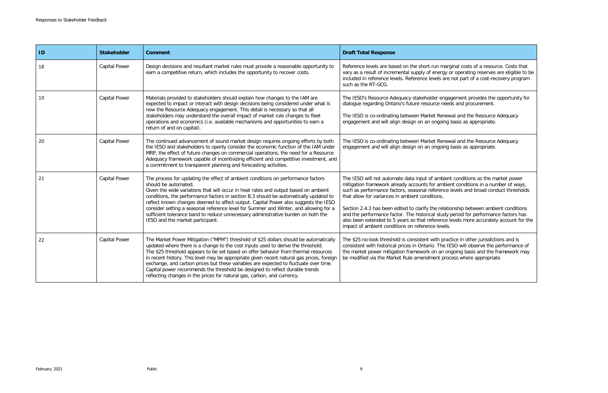arginal costs of a resource. Costs that y or operating reserves are eligible to be re not part of a cost-recovery program

gagement provides the opportunity for eeds and procurement.

ewal and the Resource Adequacy ng basis as appropriate.

ewal and the Resource Adequacy ng basis as appropriate.

ent conditions as the market power bient conditions in a number of ways, se levels and broad conduct thresholds

ationship between ambient conditions ly period for performance factors has e levels more accurately account for the

ractice in other jurisdictions and is **IESO will observe the performance of** ongoing basis and the framework may rocess where appropriate.

| ID | <b>Stakeholder</b>   | <b>Comment</b>                                                                                                                                                                                                                                                                                                                                                                                                                                                                                                                                                                                                   | <b>Draft Total Response</b>                                                                                                                                                                                                                                                                                                                                                                                                     |
|----|----------------------|------------------------------------------------------------------------------------------------------------------------------------------------------------------------------------------------------------------------------------------------------------------------------------------------------------------------------------------------------------------------------------------------------------------------------------------------------------------------------------------------------------------------------------------------------------------------------------------------------------------|---------------------------------------------------------------------------------------------------------------------------------------------------------------------------------------------------------------------------------------------------------------------------------------------------------------------------------------------------------------------------------------------------------------------------------|
| 18 | <b>Capital Power</b> | Design decisions and resultant market rules must provide a reasonable opportunity to<br>earn a competitive return, which includes the opportunity to recover costs.                                                                                                                                                                                                                                                                                                                                                                                                                                              | Reference levels are based on the short-run maro<br>vary as a result of incremental supply of energy of<br>included in reference levels. Reference levels are<br>such as the RT-GCG.                                                                                                                                                                                                                                            |
| 19 | Capital Power        | Materials provided to stakeholders should explain how changes to the IAM are<br>expected to impact or interact with design decisions being considered under what is<br>now the Resource Adequacy engagement. This detail is necessary so that all<br>stakeholders may understand the overall impact of market rule changes to fleet<br>operations and economics (i.e. available mechanisms and opportunities to earn a<br>return of and on capital).                                                                                                                                                             | The IESO's Resource Adequacy stakeholder enga<br>dialogue regarding Ontario's future resource need<br>The IESO is co-ordinating between Market Renev<br>engagement and will align design on an ongoing                                                                                                                                                                                                                          |
| 20 | <b>Capital Power</b> | The continued advancement of sound market design requires ongoing efforts by both<br>the IESO and stakeholders to openly consider the economic function of the IAM under<br>MRP, the effect of future changes on commercial operations, the need for a Resource<br>Adequacy framework capable of incentivizing efficient and competitive investment, and<br>a commitment to transparent planning and forecasting activities.                                                                                                                                                                                     | The IESO is co-ordinating between Market Renev<br>engagement and will align design on an ongoing                                                                                                                                                                                                                                                                                                                                |
| 21 | Capital Power        | The process for updating the effect of ambient conditions on performance factors<br>should be automated.<br>Given the wide variations that will occur in heat rates and output based on ambient<br>conditions, the performance factors in section B.3 should be automatically updated to<br>reflect known changes deemed to affect output. Capital Power also suggests the IESO<br>consider setting a seasonal reference level for Summer and Winter, and allowing for a<br>sufficient tolerance band to reduce unnecessary administrative burden on both the<br>IESO and the market participant.                | The IESO will not automate data input of ambien<br>mitigation framework already accounts for ambie<br>such as performance factors, seasonal reference<br>that allow for variances in ambient conditions.<br>Section 2.4.3 has been edited to clarify the relation<br>and the performance factor. The historical study<br>also been extended to 5 years so that reference I<br>impact of ambient conditions on reference levels. |
| 22 | Capital Power        | The Market Power Mitigation ("MPM") threshold of \$25 dollars should be automatically<br>updated where there is a change to the cost inputs used to derive the threshold.<br>The \$25 threshold appears to be set based on offer behavior from thermal resources<br>in recent history. This level may be appropriate given recent natural gas prices, foreign<br>exchange, and carbon prices but these variables are expected to fluctuate over time.<br>Capital power recommends the threshold be designed to reflect durable trends<br>reflecting changes in the prices for natural gas, carbon, and currency. | The \$25 no-look threshold is consistent with prac<br>consistent with historical prices in Ontario. The IE<br>the market power mitigation framework on an on<br>be modified via the Market Rule amendment prod                                                                                                                                                                                                                  |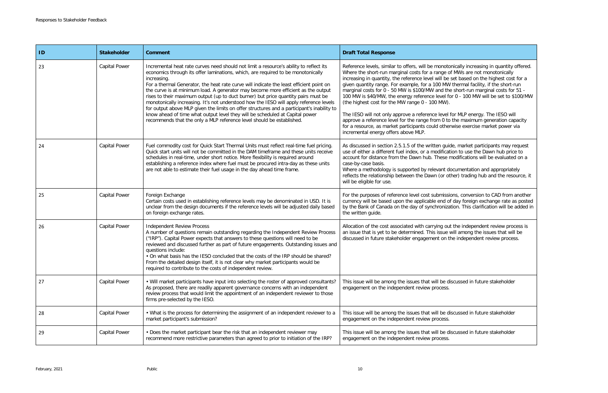tonically increasing in quantity offered. of MWs are not monotonically be set based on the highest cost for a W thermal facility, if the short-run he short-run marginal costs for  $51$  for  $0$  - 100 MW will be set to \$100/MW

I for MLP energy. The IESO will to the maximum generation capacity erwise exercise market power via

ide, market participants may request ation to use the Dawn hub price to modifications will be evaluated on a

documentation and appropriately other) trading hub and the resource, it

sions, conversion to CAD from another of day foreign exchange rate as posted zation. This clarification will be added in

ut the independent review process is will among the issues that will be the independent review process.

discussed in future stakeholder

discussed in future stakeholder

discussed in future stakeholder

| ID | <b>Stakeholder</b>   | <b>Comment</b>                                                                                                                                                                                                                                                                                                                                                                                                                                                                                                                                                                                                                                                                                                                                                                                                   | <b>Draft Total Response</b>                                                                                                                                                                                                                                                                                                                                                                                                                                                                                                                                                               |
|----|----------------------|------------------------------------------------------------------------------------------------------------------------------------------------------------------------------------------------------------------------------------------------------------------------------------------------------------------------------------------------------------------------------------------------------------------------------------------------------------------------------------------------------------------------------------------------------------------------------------------------------------------------------------------------------------------------------------------------------------------------------------------------------------------------------------------------------------------|-------------------------------------------------------------------------------------------------------------------------------------------------------------------------------------------------------------------------------------------------------------------------------------------------------------------------------------------------------------------------------------------------------------------------------------------------------------------------------------------------------------------------------------------------------------------------------------------|
| 23 | <b>Capital Power</b> | Incremental heat rate curves need should not limit a resource's ability to reflect its<br>economics through its offer laminations, which, are required to be monotonically<br>increasing.<br>For a thermal Generator, the heat rate curve will indicate the least efficient point on<br>the curve is at minimum load. A generator may become more efficient as the output<br>rises to their maximum output (up to duct burner) but price quantity pairs must be<br>monotonically increasing. It's not understood how the IESO will apply reference levels<br>for output above MLP given the limits on offer structures and a participant's inability to<br>know ahead of time what output level they will be scheduled at Capital power<br>recommends that the only a MLP reference level should be established. | Reference levels, similar to offers, will be monotor<br>Where the short-run marginal costs for a range of<br>increasing in quantity, the reference level will be :<br>given quantity range. For example, for a 100 MW<br>marginal costs for 0 - 50 MW is \$100/MW and the<br>100 MW is \$40/MW, the energy reference level fo<br>(the highest cost for the MW range 0 - 100 MW).<br>The IESO will not only approve a reference level f<br>approve a reference level for the range from 0 to<br>for a resource, as market participants could other<br>incremental energy offers above MLP. |
| 24 | <b>Capital Power</b> | Fuel commodity cost for Quick Start Thermal Units must reflect real-time fuel pricing.<br>Quick start units will not be committed in the DAM timeframe and these units receive<br>schedules in real-time, under short notice. More flexibility is required around<br>establishing a reference index where fuel must be procured intra-day as these units<br>are not able to estimate their fuel usage in the day ahead time frame.                                                                                                                                                                                                                                                                                                                                                                               | As discussed in section 2.5.1.5 of the written guid<br>use of either a different fuel index, or a modificati<br>account for distance from the Dawn hub. These n<br>case-by-case basis.<br>Where a methodology is supported by relevant do<br>reflects the relationship between the Dawn (or otl<br>will be eligible for use.                                                                                                                                                                                                                                                              |
| 25 | <b>Capital Power</b> | Foreign Exchange<br>Certain costs used in establishing reference levels may be denominated in USD. It is<br>unclear from the design documents if the reference levels will be adjusted daily based<br>on foreign exchange rates.                                                                                                                                                                                                                                                                                                                                                                                                                                                                                                                                                                                 | For the purposes of reference level cost submissic<br>currency will be based upon the applicable end of<br>by the Bank of Canada on the day of synchronizat<br>the written guide.                                                                                                                                                                                                                                                                                                                                                                                                         |
| 26 | <b>Capital Power</b> | <b>Independent Review Process</b><br>A number of questions remain outstanding regarding the Independent Review Process<br>("IRP"). Capital Power expects that answers to these questions will need to be<br>reviewed and discussed further as part of future engagements. Outstanding issues and<br>questions include:<br>. On what basis has the IESO concluded that the costs of the IRP should be shared?<br>From the detailed design itself, it is not clear why market participants would be<br>required to contribute to the costs of independent review.                                                                                                                                                                                                                                                  | Allocation of the cost associated with carrying out<br>an issue that is yet to be determined. This issue v<br>discussed in future stakeholder engagement on th                                                                                                                                                                                                                                                                                                                                                                                                                            |
| 27 | <b>Capital Power</b> | • Will market participants have input into selecting the roster of approved consultants?<br>As proposed, there are readily apparent governance concerns with an independent<br>review process that would limit the appointment of an independent reviewer to those<br>firms pre-selected by the IESO.                                                                                                                                                                                                                                                                                                                                                                                                                                                                                                            | This issue will be among the issues that will be di-<br>engagement on the independent review process.                                                                                                                                                                                                                                                                                                                                                                                                                                                                                     |
| 28 | <b>Capital Power</b> | • What is the process for determining the assignment of an independent reviewer to a<br>market participant's submission?                                                                                                                                                                                                                                                                                                                                                                                                                                                                                                                                                                                                                                                                                         | This issue will be among the issues that will be dis<br>engagement on the independent review process.                                                                                                                                                                                                                                                                                                                                                                                                                                                                                     |
| 29 | Capital Power        | • Does the market participant bear the risk that an independent reviewer may<br>recommend more restrictive parameters than agreed to prior to initiation of the IRP?                                                                                                                                                                                                                                                                                                                                                                                                                                                                                                                                                                                                                                             | This issue will be among the issues that will be dis<br>engagement on the independent review process.                                                                                                                                                                                                                                                                                                                                                                                                                                                                                     |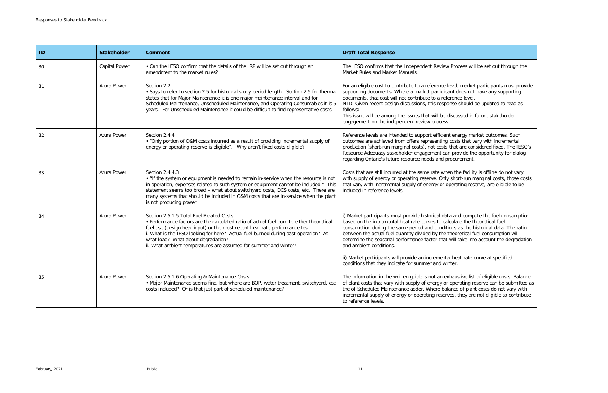w Process will be set out through the

Flevel, market participants must provide pant does not have any supporting ference level. oonse should be updated to read as

discussed in future stakeholder

ent energy market outcomes. Such g costs that vary with incremental s that are considered fixed. The IESO's an provide the opportunity for dialog procurement.

hen the facility is offline do not vary ly short-run marginal costs, those costs operating reserve, are eligible to be

ata and compute the fuel consumption alculate the theoretical fuel itions as the historical data. The ratio between the actual fuel consumption will it will take into account the degradation

tal heat rate curve at specified vinter.

exhaustive list of eligible costs. Balance or operating reserve can be submitted as alance of plant costs do not vary with rves, they are not eligible to contribute

| ID | <b>Stakeholder</b>   | <b>Comment</b>                                                                                                                                                                                                                                                                                                                                                                                                     | <b>Draft Total Response</b>                                                                                                                                                                                                                                                                                                         |
|----|----------------------|--------------------------------------------------------------------------------------------------------------------------------------------------------------------------------------------------------------------------------------------------------------------------------------------------------------------------------------------------------------------------------------------------------------------|-------------------------------------------------------------------------------------------------------------------------------------------------------------------------------------------------------------------------------------------------------------------------------------------------------------------------------------|
| 30 | <b>Capital Power</b> | • Can the IESO confirm that the details of the IRP will be set out through an<br>amendment to the market rules?                                                                                                                                                                                                                                                                                                    | The IESO confirms that the Independent Review<br>Market Rules and Market Manuals.                                                                                                                                                                                                                                                   |
| 31 | Atura Power          | Section 2.2<br>• Says to refer to section 2.5 for historical study period length. Section 2.5 for thermal<br>states that for Major Maintenance it is one major maintenance interval and for<br>Scheduled Maintenance, Unscheduled Maintenance, and Operating Consumables it is 5<br>years. For Unscheduled Maintenance it could be difficult to find representative costs.                                         | For an eligible cost to contribute to a reference le<br>supporting documents. Where a market participa<br>documents, that cost will not contribute to a refe<br>NTD: Given recent design discussions, this respo<br>follows:<br>This issue will be among the issues that will be d<br>engagement on the independent review process. |
| 32 | Atura Power          | Section 2.4.4<br>. "Only portion of O&M costs incurred as a result of providing incremental supply of<br>energy or operating reserve is eligible". Why aren't fixed costs eligible?                                                                                                                                                                                                                                | Reference levels are intended to support efficient<br>outcomes are achieved from offers representing<br>production (short-run marginal costs), not costs<br>Resource Adequacy stakeholder engagement car<br>regarding Ontario's future resource needs and pr                                                                        |
| 33 | Atura Power          | Section 2.4.4.3<br>• "If the system or equipment is needed to remain in-service when the resource is not<br>in operation, expenses related to such system or equipment cannot be included." This<br>statement seems too broad - what about switchyard costs, DCS costs, etc. There are<br>many systems that should be included in O&M costs that are in-service when the plant<br>is not producing power.          | Costs that are still incurred at the same rate whe<br>with supply of energy or operating reserve. Only<br>that vary with incremental supply of energy or op<br>included in reference levels.                                                                                                                                        |
| 34 | Atura Power          | Section 2.5.1.5 Total Fuel Related Costs<br>• Performance factors are the calculated ratio of actual fuel burn to either theoretical<br>fuel use (design heat input) or the most recent heat rate performance test<br>i. What is the IESO looking for here? Actual fuel burned during past operation? At<br>what load? What about degradation?<br>ii. What ambient temperatures are assumed for summer and winter? | i) Market participants must provide historical data<br>based on the incremental heat rate curves to cal<br>consumption during the same period and condition<br>between the actual fuel quantity divided by the t<br>determine the seasonal performance factor that<br>and ambient conditions.                                       |
|    |                      |                                                                                                                                                                                                                                                                                                                                                                                                                    | ii) Market participants will provide an incrementa<br>conditions that they indicate for summer and wir                                                                                                                                                                                                                              |
| 35 | Atura Power          | Section 2.5.1.6 Operating & Maintenance Costs<br>· Major Maintenance seems fine, but where are BOP, water treatment, switchyard, etc.<br>costs included? Or is that just part of scheduled maintenance?                                                                                                                                                                                                            | The information in the written guide is not an ex<br>of plant costs that vary with supply of energy or<br>the of Scheduled Maintenance adder. Where bala<br>incremental supply of energy or operating reserv<br>to reference levels.                                                                                                |